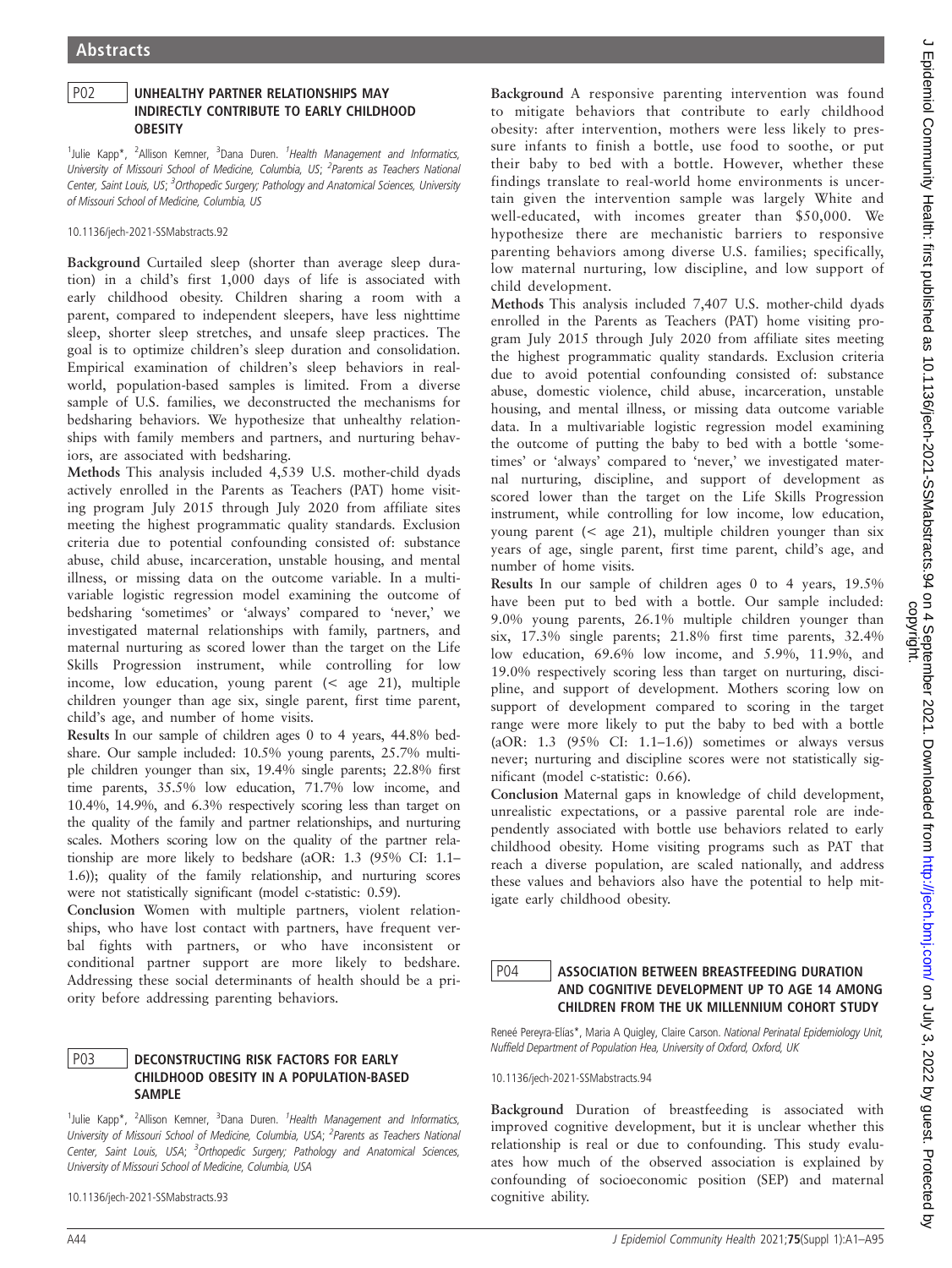## P02 UNHEALTHY PARTNER RELATIONSHIPS MAY INDIRECTLY CONTRIBUTE TO EARLY CHILDHOOD **OBESITY**

<sup>1</sup>Julie Kapp\*, <sup>2</sup>Allison Kemner, <sup>3</sup>Dana Duren. <sup>1</sup>Health Management and Informatics, University of Missouri School of Medicine, Columbia, US; <sup>2</sup>Parents as Teachers National Center, Saint Louis, US; <sup>3</sup>Orthopedic Surgery; Pathology and Anatomical Sciences, University of Missouri School of Medicine, Columbia, US

10.1136/jech-2021-SSMabstracts.92

Background Curtailed sleep (shorter than average sleep duration) in a child's first 1,000 days of life is associated with early childhood obesity. Children sharing a room with a parent, compared to independent sleepers, have less nighttime sleep, shorter sleep stretches, and unsafe sleep practices. The goal is to optimize children's sleep duration and consolidation. Empirical examination of children's sleep behaviors in realworld, population-based samples is limited. From a diverse sample of U.S. families, we deconstructed the mechanisms for bedsharing behaviors. We hypothesize that unhealthy relationships with family members and partners, and nurturing behaviors, are associated with bedsharing.

Methods This analysis included 4,539 U.S. mother-child dyads actively enrolled in the Parents as Teachers (PAT) home visiting program July 2015 through July 2020 from affiliate sites meeting the highest programmatic quality standards. Exclusion criteria due to potential confounding consisted of: substance abuse, child abuse, incarceration, unstable housing, and mental illness, or missing data on the outcome variable. In a multivariable logistic regression model examining the outcome of bedsharing 'sometimes' or 'always' compared to 'never,' we investigated maternal relationships with family, partners, and maternal nurturing as scored lower than the target on the Life Skills Progression instrument, while controlling for low income, low education, young parent (< age 21), multiple children younger than age six, single parent, first time parent, child's age, and number of home visits.

Results In our sample of children ages 0 to 4 years, 44.8% bedshare. Our sample included: 10.5% young parents, 25.7% multiple children younger than six, 19.4% single parents; 22.8% first time parents, 35.5% low education, 71.7% low income, and 10.4%, 14.9%, and 6.3% respectively scoring less than target on the quality of the family and partner relationships, and nurturing scales. Mothers scoring low on the quality of the partner relationship are more likely to bedshare (aOR: 1.3 (95% CI: 1.1– 1.6)); quality of the family relationship, and nurturing scores were not statistically significant (model c-statistic: 0.59).

Conclusion Women with multiple partners, violent relationships, who have lost contact with partners, have frequent verbal fights with partners, or who have inconsistent or conditional partner support are more likely to bedshare. Addressing these social determinants of health should be a priority before addressing parenting behaviors.

## P03 DECONSTRUCTING RISK FACTORS FOR EARLY CHILDHOOD OBESITY IN A POPULATION-BASED SAMPLE

<sup>1</sup>Julie Kapp\*, <sup>2</sup>Allison Kemner, <sup>3</sup>Dana Duren. <sup>1</sup>Health Management and Informatics, University of Missouri School of Medicine, Columbia, USA; <sup>2</sup>Parents as Teachers National Center, Saint Louis, USA; <sup>3</sup>Orthopedic Surgery; Pathology and Anatomical Sciences, University of Missouri School of Medicine, Columbia, USA

10.1136/jech-2021-SSMabstracts.93

Background A responsive parenting intervention was found to mitigate behaviors that contribute to early childhood obesity: after intervention, mothers were less likely to pressure infants to finish a bottle, use food to soothe, or put their baby to bed with a bottle. However, whether these findings translate to real-world home environments is uncertain given the intervention sample was largely White and well-educated, with incomes greater than \$50,000. We hypothesize there are mechanistic barriers to responsive parenting behaviors among diverse U.S. families; specifically, low maternal nurturing, low discipline, and low support of child development.

Methods This analysis included 7,407 U.S. mother-child dyads enrolled in the Parents as Teachers (PAT) home visiting program July 2015 through July 2020 from affiliate sites meeting the highest programmatic quality standards. Exclusion criteria due to avoid potential confounding consisted of: substance abuse, domestic violence, child abuse, incarceration, unstable housing, and mental illness, or missing data outcome variable data. In a multivariable logistic regression model examining the outcome of putting the baby to bed with a bottle 'sometimes' or 'always' compared to 'never,' we investigated maternal nurturing, discipline, and support of development as scored lower than the target on the Life Skills Progression instrument, while controlling for low income, low education, young parent (< age 21), multiple children younger than six years of age, single parent, first time parent, child's age, and number of home visits.

Results In our sample of children ages 0 to 4 years, 19.5% have been put to bed with a bottle. Our sample included: 9.0% young parents, 26.1% multiple children younger than six, 17.3% single parents; 21.8% first time parents, 32.4% low education, 69.6% low income, and 5.9%, 11.9%, and 19.0% respectively scoring less than target on nurturing, discipline, and support of development. Mothers scoring low on support of development compared to scoring in the target range were more likely to put the baby to bed with a bottle (aOR:  $1.3$  (95% CI:  $1.1-1.6$ )) sometimes or always versus never; nurturing and discipline scores were not statistically significant (model c-statistic: 0.66).

Conclusion Maternal gaps in knowledge of child development, unrealistic expectations, or a passive parental role are independently associated with bottle use behaviors related to early childhood obesity. Home visiting programs such as PAT that reach a diverse population, are scaled nationally, and address these values and behaviors also have the potential to help mitigate early childhood obesity.

# P04 | ASSOCIATION BETWEEN BREASTFEEDING DURATION AND COGNITIVE DEVELOPMENT UP TO AGE 14 AMONG CHILDREN FROM THE UK MILLENNIUM COHORT STUDY

Reneé Pereyra-Elías\*, Maria A Quigley, Claire Carson. National Perinatal Epidemiology Unit, Nuffield Department of Population Hea, University of Oxford, Oxford, UK

10.1136/jech-2021-SSMabstracts.94

Background Duration of breastfeeding is associated with improved cognitive development, but it is unclear whether this relationship is real or due to confounding. This study evaluates how much of the observed association is explained by confounding of socioeconomic position (SEP) and maternal cognitive ability.